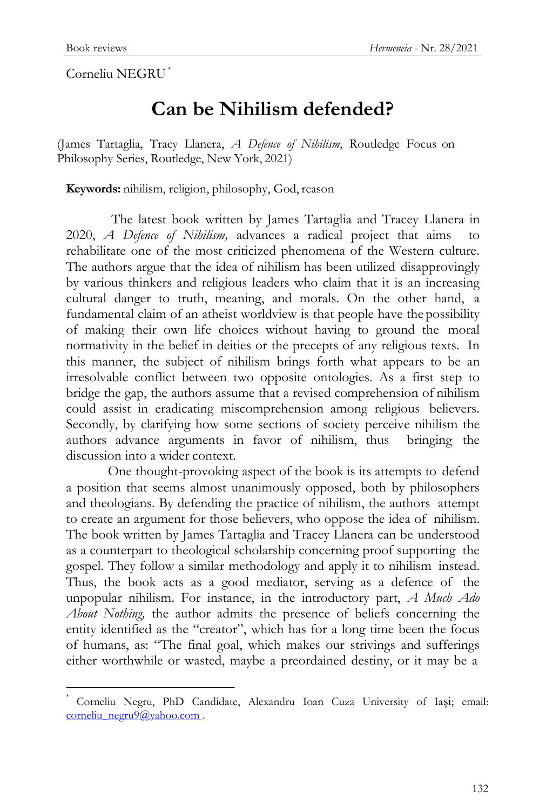Corneliu NEGRU\*

## **Can be Nihilism defended?**

(James Tartaglia, Tracy Llanera, *A Defence of Nihilism*, Routledge Focus on Philosophy Series, Routledge, New York, 2021)

**Keywords:** nihilism, religion, philosophy, God, reason

The latest book written by James Tartaglia and Tracey Llanera in 2020, *A Defence of Nihilism,* advances a radical project that aims to rehabilitate one of the most criticized phenomena of the Western culture. The authors argue that the idea of nihilism has been utilized disapprovingly by various thinkers and religious leaders who claim that it is an increasing cultural danger to truth, meaning, and morals. On the other hand, a fundamental claim of an atheist worldview is that people have the possibility of making their own life choices without having to ground the moral normativity in the belief in deities or the precepts of any religious texts. In this manner, the subject of nihilism brings forth what appears to be an irresolvable conflict between two opposite ontologies. As a first step to bridge the gap, the authors assume that a revised comprehension of nihilism could assist in eradicating miscomprehension among religious believers. Secondly, by clarifying how some sections of society perceive nihilism the authors advance arguments in favor of nihilism, thus bringing the discussion into a wider context.

One thought-provoking aspect of the book is its attempts to defend a position that seems almost unanimously opposed, both by philosophers and theologians. By defending the practice of nihilism, the authors attempt to create an argument for those believers, who oppose the idea of nihilism. The book written by James Tartaglia and Tracey Llanera can be understood as a counterpart to theological scholarship concerning proof supporting the gospel. They follow a similar methodology and apply it to nihilism instead. Thus, the book acts as a good mediator, serving as a defence of the unpopular nihilism. For instance, in the introductory part, *A Much Ado About Nothing,* the author admits the presence of beliefs concerning the entity identified as the "creator", which has for a long time been the focus of humans, as: "The final goal, which makes our strivings and sufferings either worthwhile or wasted, maybe a preordained destiny, or it may be a

<sup>\*</sup> Corneliu Negru, PhD Candidate, Alexandru Ioan Cuza University of Iași; email: [corneliu\\_negru9@yahoo.com](mailto:corneliu_negru9@yahoo.com) .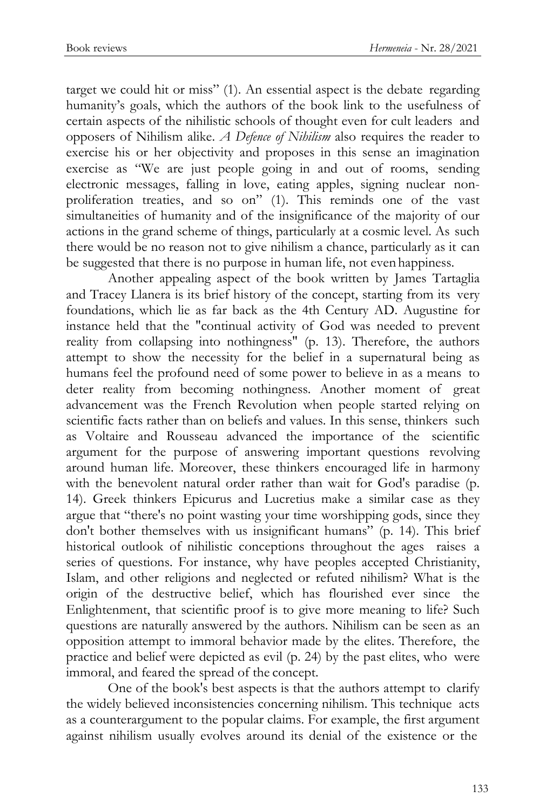target we could hit or miss" (1). An essential aspect is the debate regarding humanity's goals, which the authors of the book link to the usefulness of certain aspects of the nihilistic schools of thought even for cult leaders and opposers of Nihilism alike. *A Defence of Nihilism* also requires the reader to exercise his or her objectivity and proposes in this sense an imagination exercise as "We are just people going in and out of rooms, sending electronic messages, falling in love, eating apples, signing nuclear nonproliferation treaties, and so on" (1). This reminds one of the vast simultaneities of humanity and of the insignificance of the majority of our actions in the grand scheme of things, particularly at a cosmic level. As such there would be no reason not to give nihilism a chance, particularly as it can be suggested that there is no purpose in human life, not even happiness.

Another appealing aspect of the book written by James Tartaglia and Tracey Llanera is its brief history of the concept, starting from its very foundations, which lie as far back as the 4th Century AD. Augustine for instance held that the "continual activity of God was needed to prevent reality from collapsing into nothingness" (p. 13). Therefore, the authors attempt to show the necessity for the belief in a supernatural being as humans feel the profound need of some power to believe in as a means to deter reality from becoming nothingness. Another moment of great advancement was the French Revolution when people started relying on scientific facts rather than on beliefs and values. In this sense, thinkers such as Voltaire and Rousseau advanced the importance of the scientific argument for the purpose of answering important questions revolving around human life. Moreover, these thinkers encouraged life in harmony with the benevolent natural order rather than wait for God's paradise (p. 14). Greek thinkers Epicurus and Lucretius make a similar case as they argue that "there's no point wasting your time worshipping gods, since they don't bother themselves with us insignificant humans" (p. 14). This brief historical outlook of nihilistic conceptions throughout the ages raises a series of questions. For instance, why have peoples accepted Christianity, Islam, and other religions and neglected or refuted nihilism? What is the origin of the destructive belief, which has flourished ever since the Enlightenment, that scientific proof is to give more meaning to life? Such questions are naturally answered by the authors. Nihilism can be seen as an opposition attempt to immoral behavior made by the elites. Therefore, the practice and belief were depicted as evil (p. 24) by the past elites, who were immoral, and feared the spread of the concept.

One of the book's best aspects is that the authors attempt to clarify the widely believed inconsistencies concerning nihilism. This technique acts as a counterargument to the popular claims. For example, the first argument against nihilism usually evolves around its denial of the existence or the